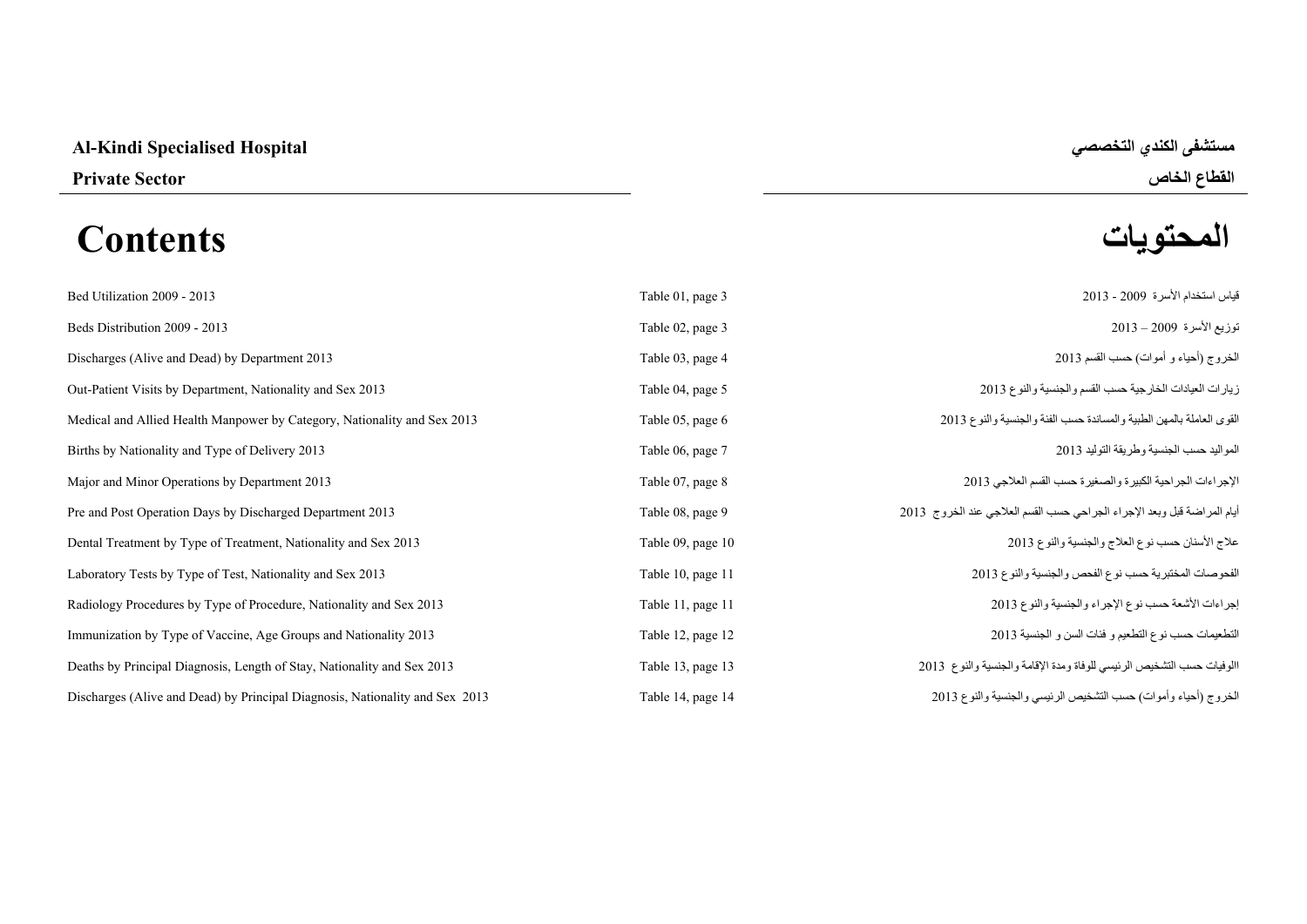# **Al-Kindi Specialised Hospital التخصصي الكندي مستشفى**

# **المحتويات Contents**

**القطاع الخاص Sector Private** 

| Bed Utilization 2009 - 2013                                                  | Table 01, page 3  | قياس استخدام الأسرة 2009 - 2013                                         |
|------------------------------------------------------------------------------|-------------------|-------------------------------------------------------------------------|
| Beds Distribution 2009 - 2013                                                | Table 02, page 3  | توزيع الأسرة 2009 – 2013                                                |
| Discharges (Alive and Dead) by Department 2013                               | Table 03, page 4  | الخروج (أحياء و أموات) حسب القسم 2013                                   |
| Out-Patient Visits by Department, Nationality and Sex 2013                   | Table 04, page 5  | زيارات العيادات الخارجية حسب القسم والجنسية والنوع 2013                 |
| Medical and Allied Health Manpower by Category, Nationality and Sex 2013     | Table 05, page 6  | القوى العاملة بالمهن الطبية والمساندة حسب الفئة والجنسية والنوع 2013    |
| Births by Nationality and Type of Delivery 2013                              | Table 06, page 7  | المواليد حسب الجنسية وطريقة التوليد 2013                                |
| Major and Minor Operations by Department 2013                                | Table 07, page 8  | الإجراءات الجراحية الكبيرة والصغيرة حسب القسم العلاجي 2013              |
| Pre and Post Operation Days by Discharged Department 2013                    | Table 08, page 9  | أيام المراضة قبل وبعد الإجراء الجراحي حسب القسم العلاجي عند الخروج 2013 |
| Dental Treatment by Type of Treatment, Nationality and Sex 2013              | Table 09, page 10 | علاج الأسنان حسب نوع العلاج والجنسية والنوع 2013                        |
| Laboratory Tests by Type of Test, Nationality and Sex 2013                   | Table 10, page 11 | الفحوصات المختبرية حسب نوع الفحص والجنسية والنوع 2013                   |
| Radiology Procedures by Type of Procedure, Nationality and Sex 2013          | Table 11, page 11 | إجراءات الأشعة حسب نوع الإجراء والجنسية والنوع 2013                     |
| Immunization by Type of Vaccine, Age Groups and Nationality 2013             | Table 12, page 12 | التطعيمات حسب نوع التطعيم و فئات السن و الجنسية 2013                    |
| Deaths by Principal Diagnosis, Length of Stay, Nationality and Sex 2013      | Table 13, page 13 | االوفيات حسب التشخيص الرئيسي للوفاة ومدة الإقامة والجنسية والنوع 2013   |
| Discharges (Alive and Dead) by Principal Diagnosis, Nationality and Sex 2013 | Table 14, page 14 | الخروج (أحياء وأموات) حسب التشخيص الرئيسي والجنسية والنوع 2013          |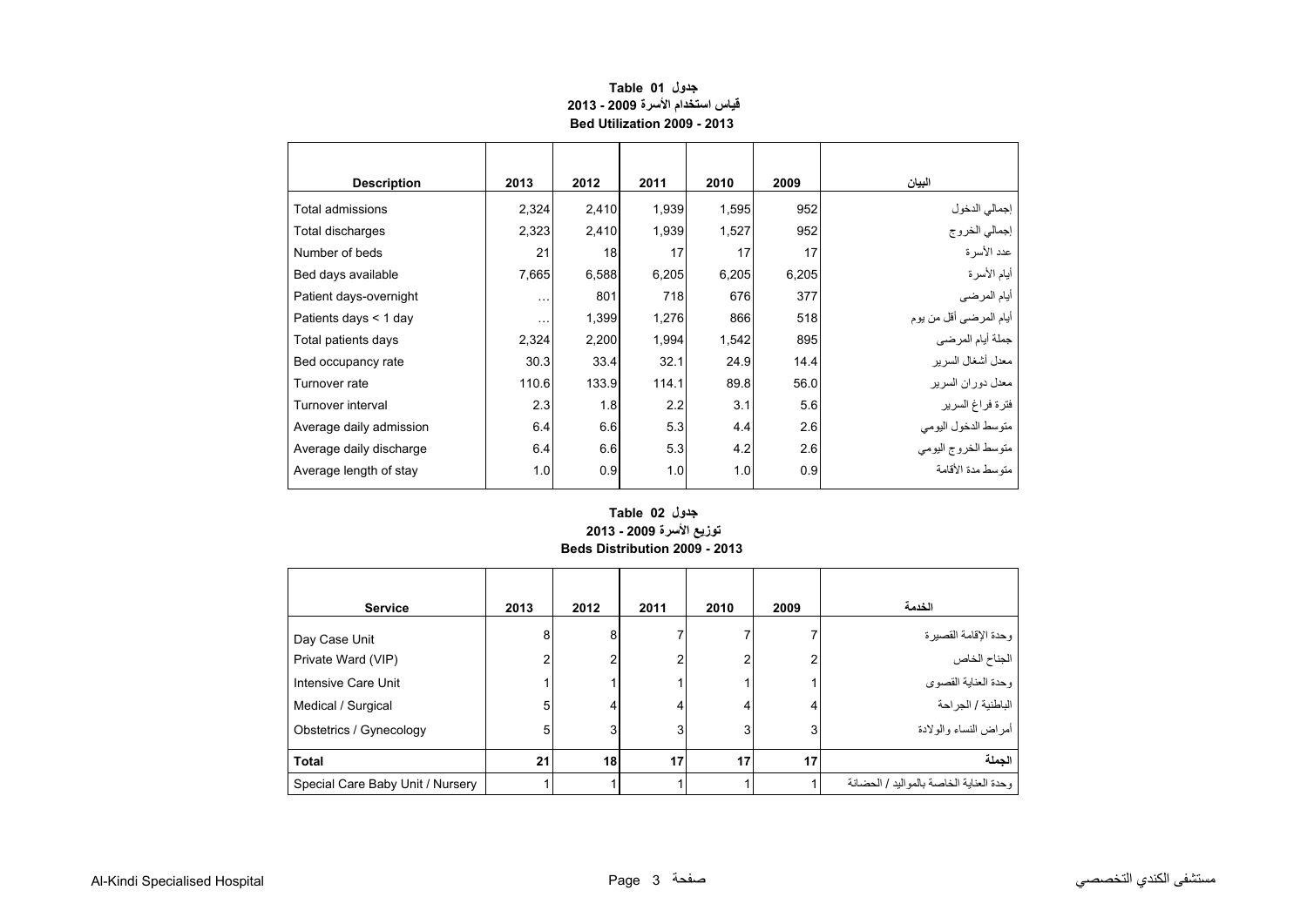<span id="page-1-0"></span>

| <b>Description</b>      | 2013     | 2012  | 2011  | 2010  | 2009  | البيان                         |
|-------------------------|----------|-------|-------|-------|-------|--------------------------------|
| Total admissions        | 2,324    | 2,410 | 1,939 | 1,595 | 952   |                                |
| Total discharges        | 2,323    | 2,410 | 1,939 | 1,527 | 952   | إجمالي الدخول<br>إجمالي الخروج |
| Number of beds          | 21       | 18    | 17    | 17    | 17    | عدد الأسرة                     |
| Bed days available      | 7,665    | 6,588 | 6,205 | 6,205 | 6,205 | أيام الأسرة                    |
| Patient days-overnight  | $\cdots$ | 801   | 718   | 676   | 377   | أيام المرضىي                   |
| Patients days $<$ 1 day | $\cdots$ | 1,399 | 1,276 | 866   | 518   | أيام المرضىي أقل من يوم        |
| Total patients days     | 2,324    | 2,200 | 1,994 | 1,542 | 895   | جملة أيام المرضي               |
| Bed occupancy rate      | 30.3     | 33.4  | 32.1  | 24.9  | 14.4  | معدل أشغال السرير              |
| Turnover rate           | 110.6    | 133.9 | 114.1 | 89.8  | 56.0  | معدل دوران السرير              |
| Turnover interval       | 2.3      | 1.8   | 2.2   | 3.1   | 5.6   | فترة فراغ السرير               |
| Average daily admission | 6.4      | 6.6   | 5.3   | 4.4   | 2.6   | متوسط الدخول اليومي            |
| Average daily discharge | 6.4      | 6.6   | 5.3   | 4.2   | 2.6   | متوسط الخروج اليومي            |
| Average length of stay  | 1.0      | 0.9   | 1.0   | 1.0   | 0.9   | متوسط مدة الأقامة              |

## **جدول 01 Table قياس استخدام األسرة 2009 - 2013 Bed Utilization 2009 - 2013**

#### **توزيع األسرة 2009 - 2013 Beds Distribution 2009 - 2013 جدول 02 Table**

| <b>Service</b>                      | 2013   | 2012   | 2011 | 2010 | 2009 | الخدمة                                  |
|-------------------------------------|--------|--------|------|------|------|-----------------------------------------|
| Day Case Unit<br>Private Ward (VIP) | 8<br>c | 8<br>2 |      | 2    | 2    | وحدة الإقامة القصيرة<br>الجناح الخاص    |
| Intensive Care Unit                 |        |        |      |      |      | وحدة العناية القصوى                     |
| Medical / Surgical                  | 5      | 4      |      | 4    | 4    | الباطنية / الجراحة                      |
| Obstetrics / Gynecology             | 5      | 3      | 3    | 3    | 3    | أمراض النساء والولادة                   |
| <b>Total</b>                        | 21     | 18     | 17   | 17   | 17   | الحملة                                  |
| Special Care Baby Unit / Nursery    |        |        |      |      |      | وحدة العناية الخاصة بالمواليد / الحضانة |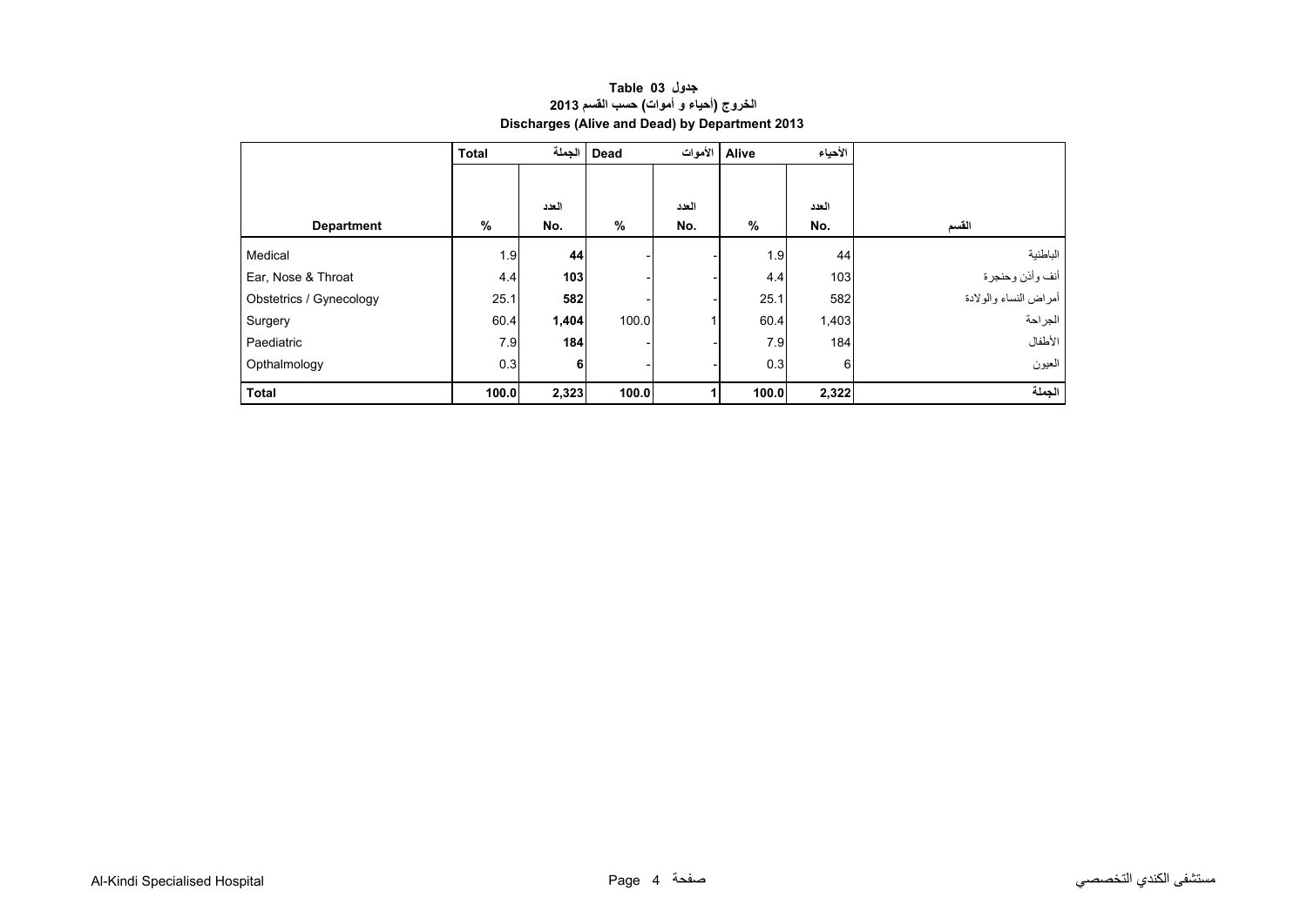| جدول Table 03                                  |  |
|------------------------------------------------|--|
| الخروج (أحياء و أموات) حسب القسم 2013          |  |
| Discharges (Alive and Dead) by Department 2013 |  |

<span id="page-2-0"></span>

|                         | <b>Total</b> | الجملة | Dead  |       | Alive   الأموات<br>الأحياء |       |                       |
|-------------------------|--------------|--------|-------|-------|----------------------------|-------|-----------------------|
|                         |              |        |       |       |                            |       |                       |
|                         |              | العدد  |       | العدد |                            | العدد |                       |
| <b>Department</b>       | %            | No.    | %     | No.   | %                          | No.   | القسم                 |
| Medical                 | 1.9          | 44     |       |       | 1.9                        | 44    | الباطنية              |
| Ear, Nose & Throat      | 4.4          | 103    |       |       | 4.4                        | 103   | أنف وأذن وحنجرة       |
| Obstetrics / Gynecology | 25.1         | 582    |       |       | 25.1                       | 582   | أمراض النساء والولادة |
| Surgery                 | 60.4         | 1,404  | 100.0 |       | 60.4                       | 1,403 | الجراحة               |
| Paediatric              | 7.9          | 184    |       |       | 7.9                        | 184   | الأطفال               |
| Opthalmology            | 0.3          | 6      |       |       | 0.3                        | 6     | العيون                |
| <b>Total</b>            | 100.0        | 2,323  | 100.0 |       | 100.0                      | 2,322 | الجملة                |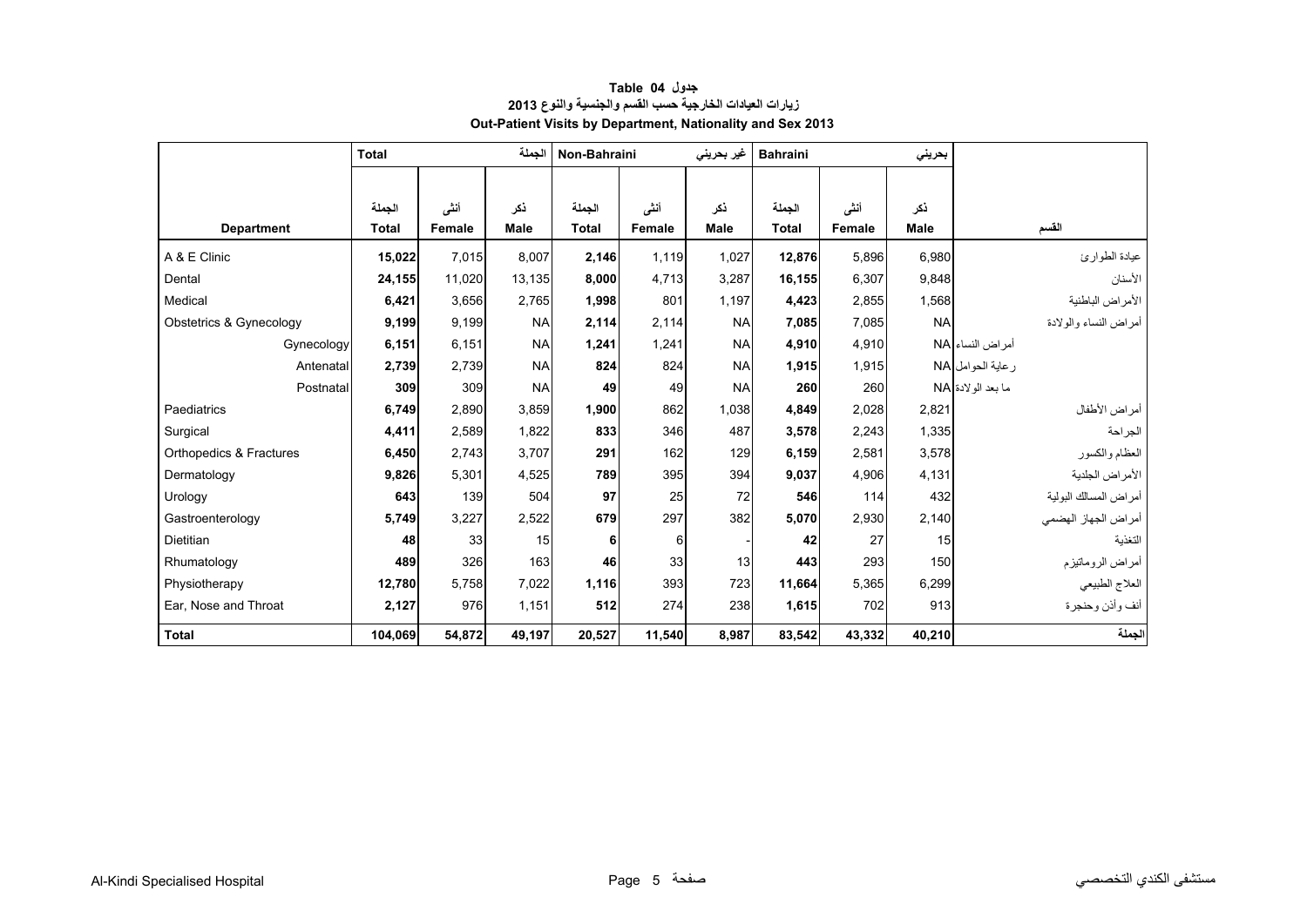<span id="page-3-0"></span>

|                         | <b>Total</b> |        | الجملة      | Non-Bahraini |        | غير بحريني  | <b>Bahraini</b> |        | بحرينى      |                       |
|-------------------------|--------------|--------|-------------|--------------|--------|-------------|-----------------|--------|-------------|-----------------------|
|                         |              |        |             |              |        |             |                 |        |             |                       |
|                         | الجملة       | أنشى   | نكر         | الجملة       | أننس   | ذكر         | الجملة          | أنشى   | نكر         |                       |
| <b>Department</b>       | <b>Total</b> | Female | <b>Male</b> | <b>Total</b> | Female | <b>Male</b> | <b>Total</b>    | Female | <b>Male</b> | القسم                 |
| A & E Clinic            | 15,022       | 7.015  | 8.007       | 2,146        | 1.119  | 1,027       | 12,876          | 5,896  | 6,980       | عيادة الطوارئ         |
| Dental                  | 24,155       | 11.020 | 13.135      | 8,000        | 4,713  | 3,287       | 16.155          | 6,307  | 9,848       | الأسنان               |
| Medical                 | 6,421        | 3.656  | 2.765       | 1.998        | 801    | 1,197       | 4,423           | 2.855  | 1,568       | الأمراض الباطنية      |
| Obstetrics & Gynecology | 9,199        | 9.199  | <b>NA</b>   | 2.114        | 2.114  | <b>NA</b>   | 7,085           | 7,085  | <b>NA</b>   | أمراض النساء والولادة |
| Gynecology              | 6,151        | 6,151  | <b>NA</b>   | 1,241        | 1,241  | <b>NA</b>   | 4,910           | 4,910  |             | أمر اض النساء NA      |
| Antenatal               | 2,739        | 2,739  | <b>NA</b>   | 824          | 824    | <b>NA</b>   | 1,915           | 1,915  |             | ر عاية الحوامل NA     |
| Postnatal               | 309          | 309    | <b>NA</b>   | 49           | 49     | <b>NA</b>   | 260             | 260    |             | ما بعد الو لادة NA    |
| Paediatrics             | 6.749        | 2.890  | 3.859       | 1,900        | 862    | 1,038       | 4,849           | 2,028  | 2,821       | أمراض الأطفال         |
| Surgical                | 4,411        | 2,589  | 1,822       | 833          | 346    | 487         | 3,578           | 2,243  | 1,335       | الجراحة               |
| Orthopedics & Fractures | 6,450        | 2,743  | 3,707       | 291          | 162    | 129         | 6,159           | 2,581  | 3,578       | العظام والكسور        |
| Dermatology             | 9,826        | 5,301  | 4,525       | 789          | 395    | 394         | 9,037           | 4,906  | 4,131       | الأمراض الجلدية       |
| Urology                 | 643          | 139    | 504         | 97           | 25     | 72          | 546             | 114    | 432         | أمراض المسالك البولية |
| Gastroenterology        | 5,749        | 3,227  | 2,522       | 679          | 297    | 382         | 5,070           | 2.930  | 2,140       | أمراض الجهاز الهضمي   |
| Dietitian               | 48           | 33     | 15          | 6            | 6      |             | 42              | 27     | 15          | التغذية               |
| Rhumatology             | 489          | 326    | 163         | 46           | 33     | 13          | 443             | 293    | 150         | أمراض الروماتيزم      |
| Physiotherapy           | 12,780       | 5,758  | 7,022       | 1,116        | 393    | 723         | 11,664          | 5,365  | 6,299       | العلاج الطبيعي        |
| Ear, Nose and Throat    | 2,127        | 976    | 1,151       | 512          | 274    | 238         | 1,615           | 702    | 913         | أنف وأذن وحنجرة       |
| <b>Total</b>            | 104,069      | 54,872 | 49,197      | 20,527       | 11,540 | 8,987       | 83,542          | 43,332 | 40,210      | الجملة                |

#### **جدول 04 Table زيارات العيادات الخارجية حسب القسم والجنسية والنوع <sup>2013</sup> Out-Patient Visits by Department, Nationality and Sex 2013**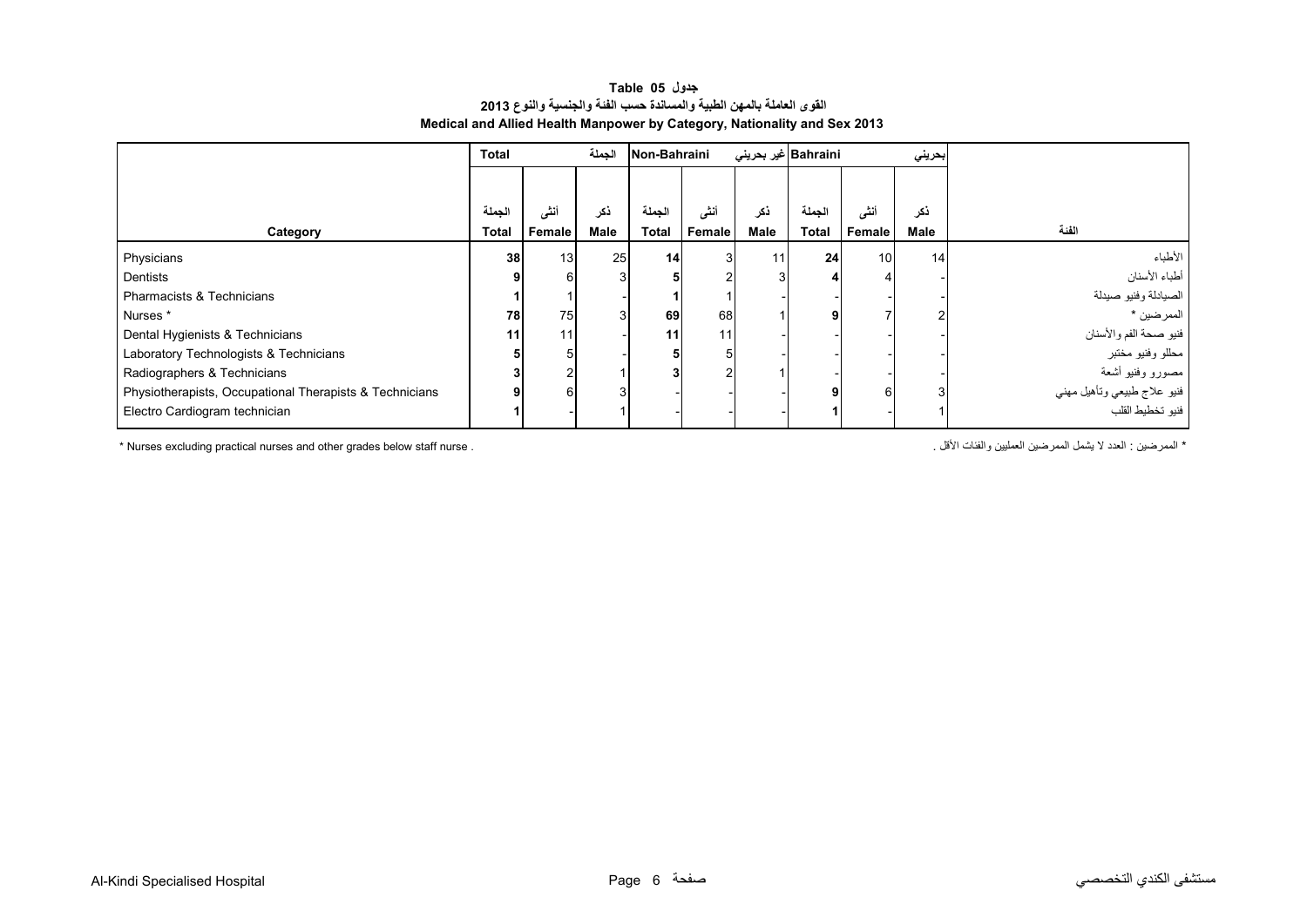#### **جدول 05 Table القوى العاملة بالمھن الطبية والمساندة حسب الفئة والجنسية والنوع <sup>2013</sup> Medical and Allied Health Manpower by Category, Nationality and Sex 2013**

<span id="page-4-0"></span>

|                                                         | <b>Total</b> |        |                 | الجملة<br>Non-Bahraini |        |                | Bahraini غیر بحرینی |        | بحريني          |                             |
|---------------------------------------------------------|--------------|--------|-----------------|------------------------|--------|----------------|---------------------|--------|-----------------|-----------------------------|
|                                                         | الجملة       | أنشى   | نكر             | الجملة                 | أنشى   | ڏکر            | الجملة              | أننى   | ذكر             |                             |
| Category                                                | <b>Total</b> | Female | Male            | <b>Total</b>           | Female | Male           | <b>Total</b>        | Female | Male            | الفئة                       |
| Physicians                                              | 38           | 13     | 25 <sub>1</sub> | 14                     | 3      | 11             | 24                  | 10     | 14 <sub>l</sub> | الأطباء                     |
| Dentists                                                |              | 6      |                 |                        |        | 3 <sub>1</sub> |                     |        |                 | أطباء الأسنان               |
| <b>Pharmacists &amp; Technicians</b>                    |              |        |                 |                        |        |                |                     |        |                 | الصيادلة وفنيو صيدلة        |
| Nurses *                                                | 78           | 75     |                 | 69                     | 68     |                | 9                   |        |                 | الممرضين *                  |
| Dental Hygienists & Technicians                         | 11           | 11     |                 | 11                     | 11     |                |                     |        |                 | فنيو صحة الفم والأسنان      |
| Laboratory Technologists & Technicians                  |              |        |                 |                        |        |                |                     |        |                 | محللو وفنيو مختبر           |
| Radiographers & Technicians                             |              |        |                 |                        |        |                |                     |        |                 | مصورو وفنيو أشعة            |
| Physiotherapists, Occupational Therapists & Technicians |              | 6      |                 |                        |        |                | 9                   |        | 3               | فنيو علاج طبيعي وتأهيل مهني |
| Electro Cardiogram technician                           |              |        |                 |                        |        |                |                     |        |                 | فنبو تخطيط القلب            |

\* Nurses excluding practical nurses and other grades below staff nurse . . األقل والفئات العمليين الممرضين يشمل ال العدد : الممرضين\*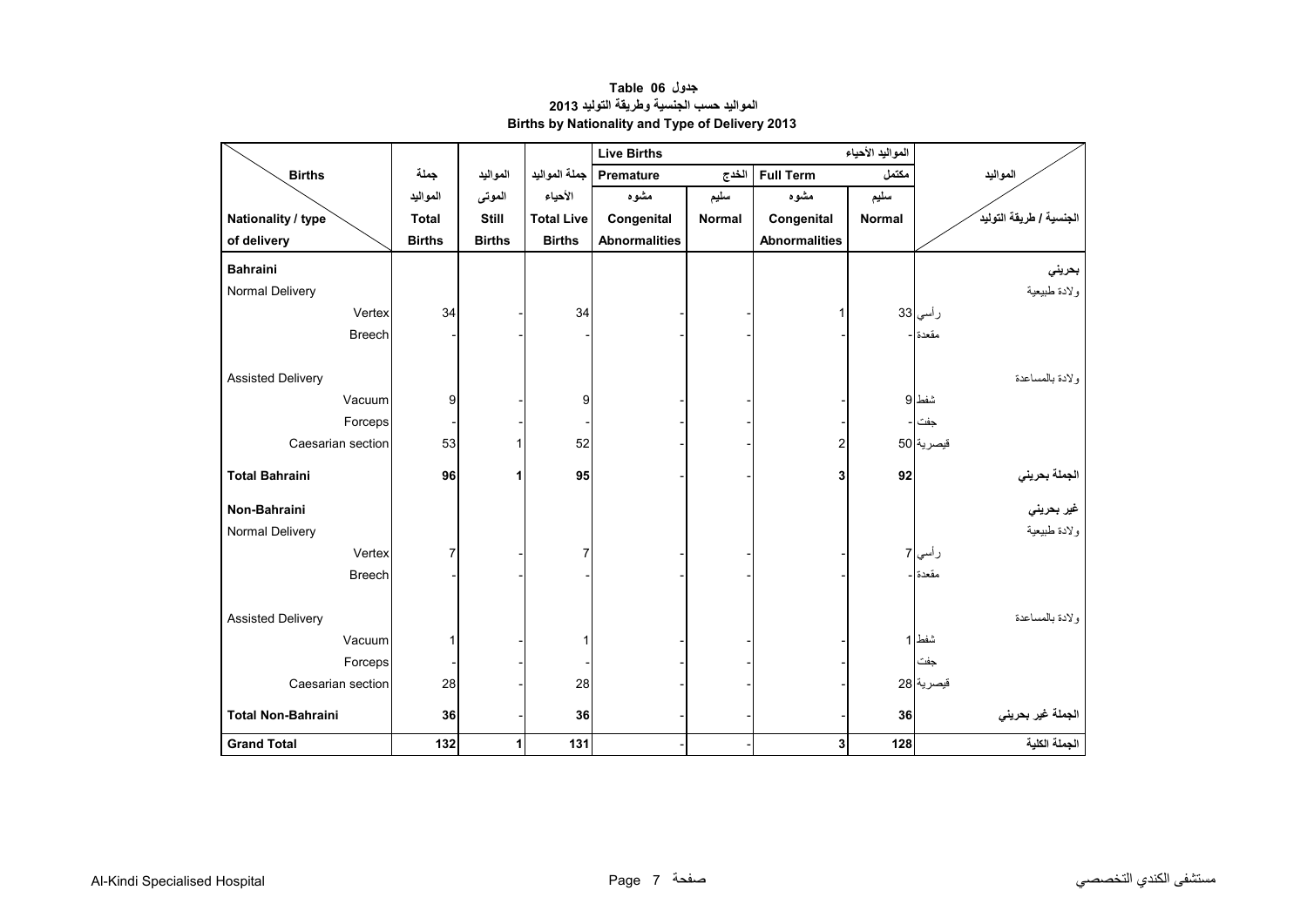<span id="page-5-0"></span>

|                           |               |               |                   | <b>Live Births</b>          |       |                      |               |                                    |
|---------------------------|---------------|---------------|-------------------|-----------------------------|-------|----------------------|---------------|------------------------------------|
| <b>Births</b>             | جملة          | المواليد      | جملة المواليد     | Premature                   | الخدج | <b>Full Term</b>     | مكتمل         | المواليد                           |
|                           | المواليد      | الموتى        | الأحياء           | مشوه                        | سليم  | مشوه                 | سليم          |                                    |
| Nationality / type        | <b>Total</b>  | Still         | <b>Total Live</b> | Congenital<br><b>Normal</b> |       | Congenital           | <b>Normal</b> | الجنسية / طريقة التوليد            |
| of delivery               | <b>Births</b> | <b>Births</b> | <b>Births</b>     | <b>Abnormalities</b>        |       | <b>Abnormalities</b> |               |                                    |
| <b>Bahraini</b>           |               |               |                   |                             |       |                      |               | بحريني                             |
| Normal Delivery           |               |               |                   |                             |       |                      |               | ولادة طبيعية                       |
| Vertex                    | 34            |               | 34                |                             |       |                      |               | رأسي 33                            |
| <b>Breech</b>             |               |               |                   |                             |       |                      |               | مقعدة -                            |
|                           |               |               |                   |                             |       |                      |               |                                    |
| <b>Assisted Delivery</b>  |               |               |                   |                             |       |                      |               | ولادة بالمساعدة                    |
| Vacuum                    | 9             |               | 9                 |                             |       |                      |               | شفط 9                              |
| Forceps                   |               |               |                   |                             |       |                      |               | جفت                                |
| Caesarian section         | 53            | 1             | 52                |                             |       | 2                    |               | قيصرية 50                          |
| <b>Total Bahraini</b>     | 96            | 1             | 95                |                             |       | 3                    | 92            |                                    |
|                           |               |               |                   |                             |       |                      |               | ا <mark>لجملة بحرين<i>ي</i></mark> |
| Non-Bahraini              |               |               |                   |                             |       |                      |               | غير بحرين <i>ي</i>                 |
| Normal Delivery           |               |               |                   |                             |       |                      |               | ولادة طبيعية                       |
| Vertex                    |               |               |                   |                             |       |                      |               | ر أسي <mark>7</mark>               |
| Breech                    |               |               |                   |                             |       |                      |               | مقعدة -                            |
|                           |               |               |                   |                             |       |                      |               |                                    |
| <b>Assisted Delivery</b>  |               |               |                   |                             |       |                      |               | ولادة بالمساعدة                    |
| Vacuum                    |               |               |                   |                             |       |                      |               | شفط 1                              |
| Forceps                   |               |               |                   |                             |       |                      |               | جفت                                |
| Caesarian section         | 28            |               | 28                |                             |       |                      |               | قيصرية 28                          |
| <b>Total Non-Bahraini</b> | 36            |               | 36                |                             |       |                      | 36            | الجملة غير بحريني                  |
| <b>Grand Total</b>        | 132           | 1             | 131               |                             |       | 3                    | 128           | الجملة الكلية                      |

**جدول 06 Table المواليد حسب الجنسية وطريقة التوليد <sup>2013</sup> Births by Nationality and Type of Delivery 2013**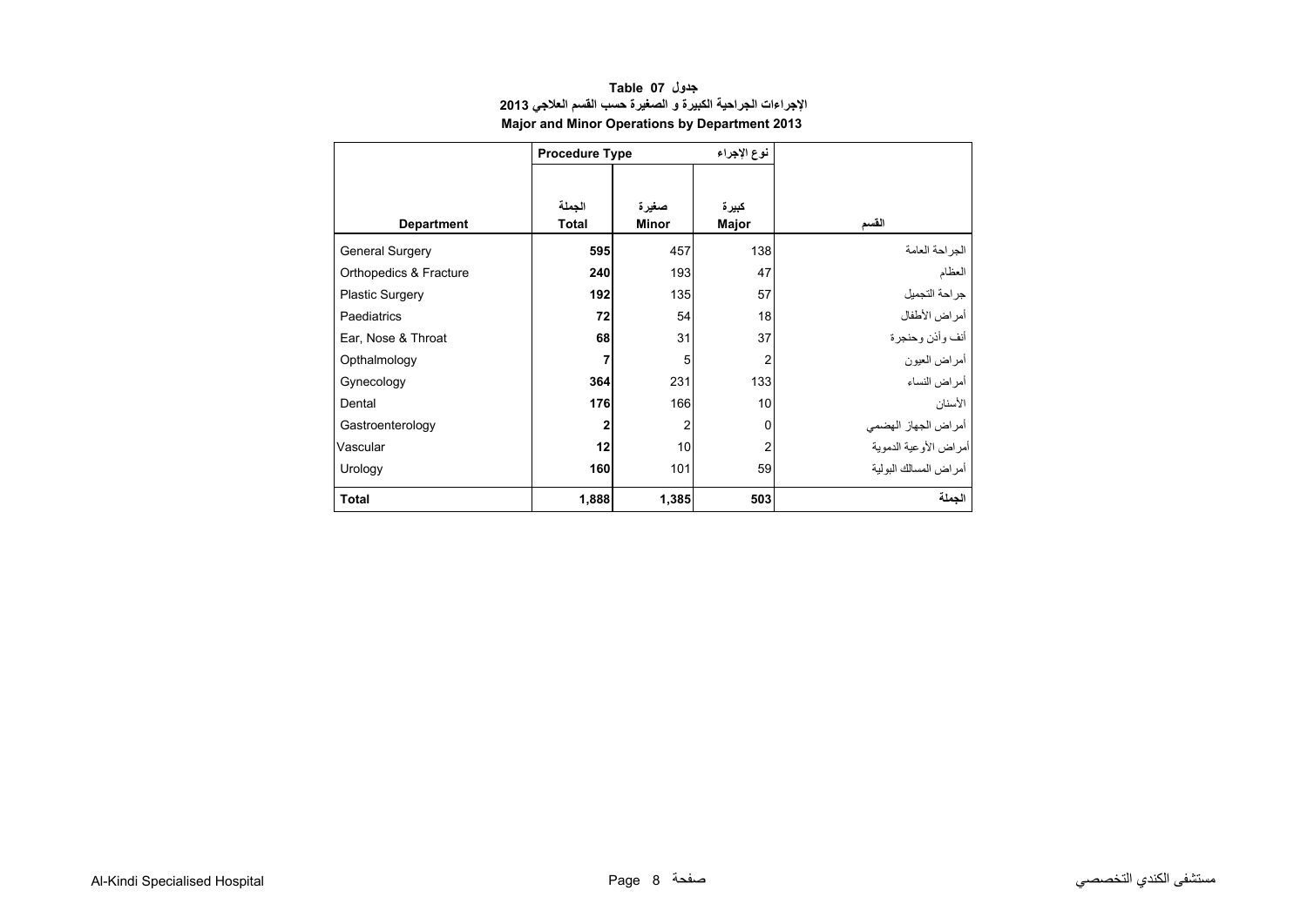<span id="page-6-0"></span>

|                        | <b>Procedure Type</b>  |                       | نوع الإجراء    |                        |
|------------------------|------------------------|-----------------------|----------------|------------------------|
|                        |                        |                       |                |                        |
| <b>Department</b>      | الجملة<br><b>Total</b> | صغيرة<br><b>Minor</b> | كبيرة<br>Major | القسم                  |
| <b>General Surgery</b> | 595                    | 457                   | 138            | الجراحة العامة         |
| Orthopedics & Fracture | 240                    | 193                   | 47             | العظام                 |
| <b>Plastic Surgery</b> | 192                    | 135                   | 57             | جر احة التجميل         |
| <b>Paediatrics</b>     | 72                     | 54                    | 18             | أمراض الأطفال          |
| Ear, Nose & Throat     | 68                     | 31                    | 37             | أنف وأذن وحنجرة        |
| Opthalmology           | $\overline{7}$         | 5                     | 2              | أمراض العيون           |
| Gynecology             | 364                    | 231                   | 133            | أمر اض النساء          |
| Dental                 | 176                    | 166                   | 10             | الأسنان                |
| Gastroenterology       | $\boldsymbol{2}$       | 2                     | $\mathbf 0$    | أمراض الجهاز الهضمي    |
| Vascular               | 12                     | 10                    | $\overline{2}$ | أمراض الأوعية الدموية  |
| Urology                | 160                    | 101                   | 59             | أمر اض المسالك البولبة |
| <b>Total</b>           | 1,888                  | 1,385                 | 503            | الجملة                 |

#### **جدول 07 Table اإلجراءات الجراحية الكبيرة <sup>و</sup> الصغيرة حسب القسم العالجي <sup>2013</sup> Major and Minor Operations by Department 2013**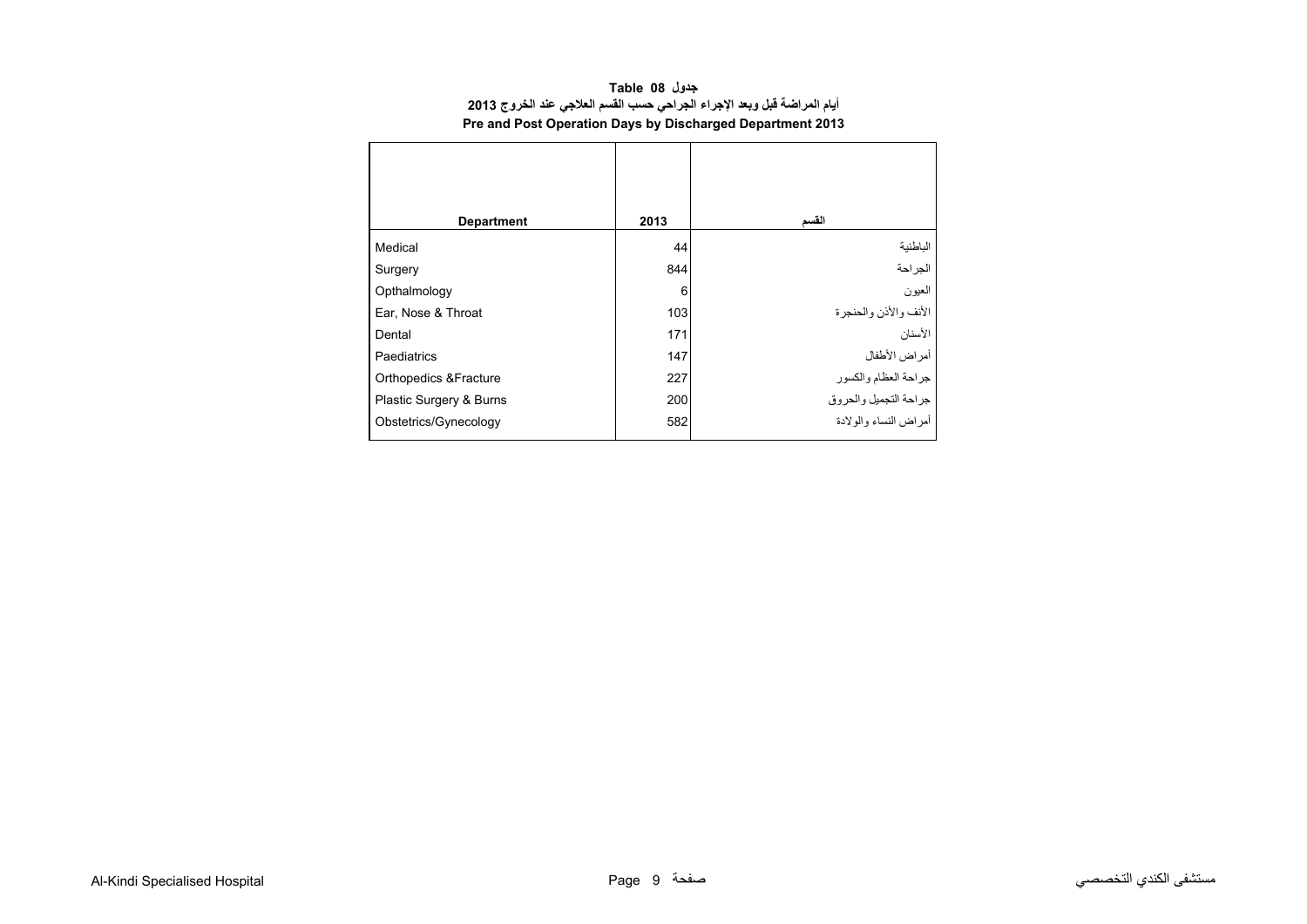<span id="page-7-0"></span>

| <b>Department</b>       | 2013 | القسم                   |
|-------------------------|------|-------------------------|
| Medical                 | 44   | الباطنية                |
| Surgery                 | 844  | الجراحة                 |
| Opthalmology            | 6    | العيون                  |
| Ear, Nose & Throat      | 103  | الأنف والأذن والحنجرة   |
| Dental                  | 171  | الأسنان                 |
| Paediatrics             | 147  | أمراض الأطفال           |
| Orthopedics & Fracture  | 227  | جراحة العظام والكسور    |
| Plastic Surgery & Burns | 200  | جراحة التجميل والحروق   |
| Obstetrics/Gynecology   | 582  | أمر اض النساء والو لادة |

#### **جدول 08 Table أيام المراضة قبل وبعد اإلجراء الجراحي حسب القسم العالجي عند الخروج <sup>2013</sup> Pre and Post Operation Days by Discharged Department 2013**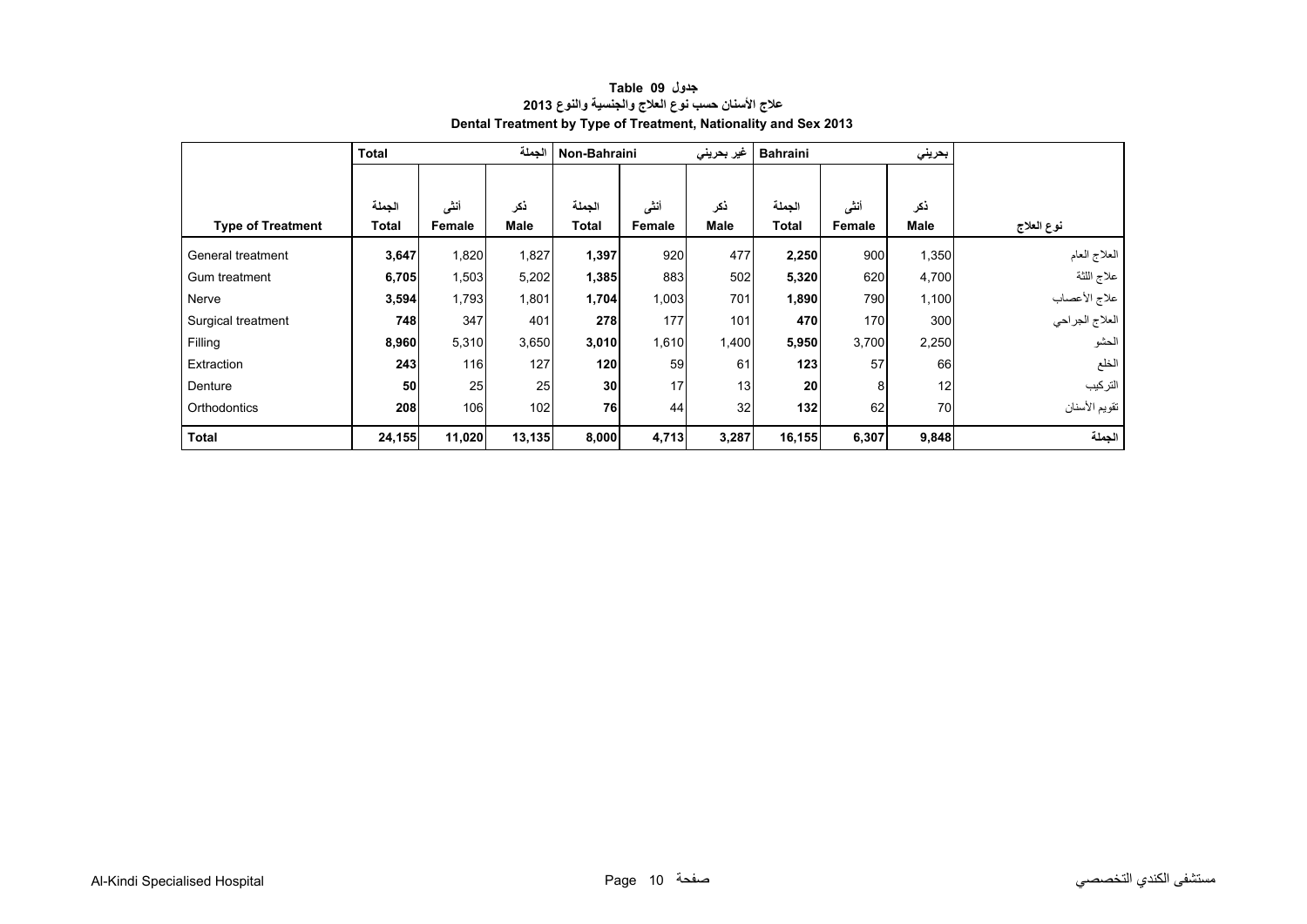<span id="page-8-0"></span>

|                          | <b>Total</b> |        | الجملة | Non-Bahraini |        | غیر بحرینی | <b>Bahraini</b> |        | بحريني |                |
|--------------------------|--------------|--------|--------|--------------|--------|------------|-----------------|--------|--------|----------------|
|                          |              |        |        |              |        |            |                 |        |        |                |
|                          | الجملة       | أننى   | ذكر    | الجملة       | أننى   | نكر        | الجملة          | أنشى   | ذكر    |                |
| <b>Type of Treatment</b> | Total        | Female | Male   | Total        | Female | Male       | <b>Total</b>    | Female | Male   | نوع العلاج     |
| General treatment        | 3,647        | 1,820  | 1,827  | 1,397        | 920    | 477        | 2,250           | 900    | 1,350  | العلاج العام   |
| Gum treatment            | 6,705        | 1,503  | 5,202  | 1,385        | 883    | 502        | 5,320           | 620    | 4,700  | علاج اللثة     |
| Nerve                    | 3,594        | 1,793  | 1,801  | 1,704        | 1,003  | 701        | 1,890           | 790    | 1,100  | علاج الأعصاب   |
| Surgical treatment       | 748          | 347    | 401    | 278          | 177    | 101        | 470             | 170    | 300    | العلاج الجراحي |
| Filling                  | 8,960        | 5,310  | 3,650  | 3,010        | 1,610  | 1,400      | 5,950           | 3,700  | 2,250  | الحشو          |
| Extraction               | 243          | 116    | 127    | 120          | 59     | 61         | 123             | 57     | 66     | الخلع          |
| Denture                  | 50           | 25     | 25     | 30           | 17     | 13         | <b>20</b>       | 8      | 12     | التركيب        |
| Orthodontics             | 208          | 106    | 102    | 76           | 44     | 32         | 132             | 62     | 70     | تقويم الأسنان  |
| <b>Total</b>             | 24,155       | 11,020 | 13,135 | 8,000        | 4,713  | 3,287      | 16,155          | 6,307  | 9,848  | الجملة         |

#### **جدول 09 Table عالج األسنان حسب نوع العالج والجنسية والنوع <sup>2013</sup> Dental Treatment by Type of Treatment, Nationality and Sex 2013**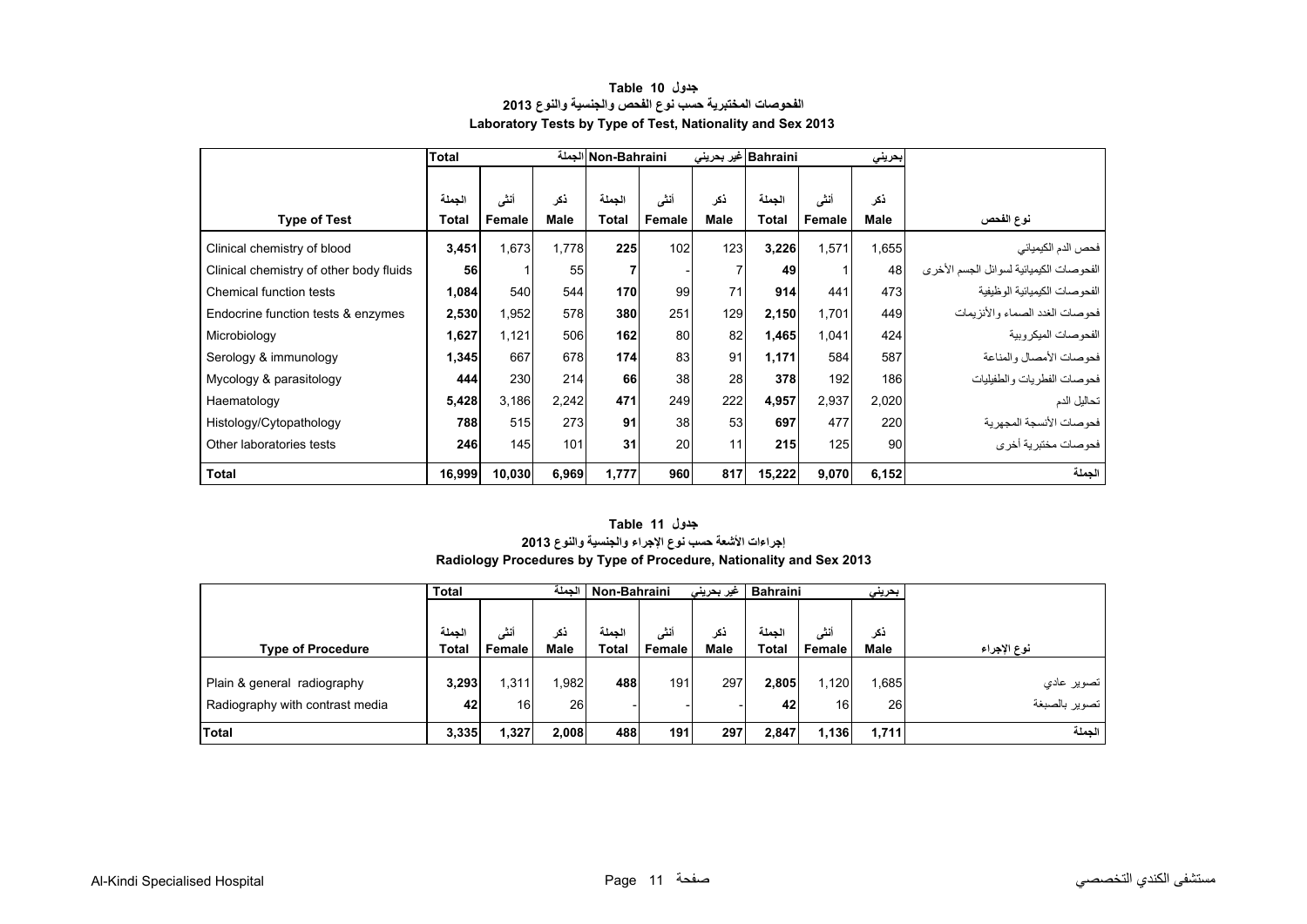<span id="page-9-0"></span>

|                                         | <b>Total</b> |        |             | Non-Bahraini الجملة |        |                | Bahraini غیر بحرینی |        | بحريني      |                                         |
|-----------------------------------------|--------------|--------|-------------|---------------------|--------|----------------|---------------------|--------|-------------|-----------------------------------------|
|                                         |              |        |             |                     |        |                |                     |        |             |                                         |
|                                         | الجملة       | أنشى   | نكر         | الجملة              | أننى   | ذكر            | الجملة              | أنشى   | ذكر         |                                         |
| <b>Type of Test</b>                     | <b>Total</b> | Female | <b>Male</b> | <b>Total</b>        | Female | Male           | Total               | Female | <b>Male</b> | نوع الفحص                               |
| Clinical chemistry of blood             | 3,451        | 1,673  | 1,778       | 225                 | 102    | 123            | 3,226               | 1,571  | 1,655       | فحص الدم الكيميائي                      |
| Clinical chemistry of other body fluids | 56           |        | 55          |                     |        | $\overline{7}$ | 49                  |        | 48          | الفحوصات الكيميائية لسوائل الجسم الأخرى |
| Chemical function tests                 | 1,084        | 540    | 544         | 170                 | 99     | 71             | 914                 | 441    | 473         | الفحو صبات الكيميائية الو ظيفية         |
| Endocrine function tests & enzymes      | 2,530        | 1,952  | 578         | 380                 | 251    | 129            | 2,150               | 1,701  | 449         | فحو صبات الغدد الصيماء والأنز بمات      |
| Microbiology                            | 1,627        | 1,121  | 506         | 162                 | 80     | 82             | 1,465               | 1,041  | 424         | الفحو صبات الميكر وبية                  |
| Serology & immunology                   | 1,345        | 667    | 678         | 174                 | 83     | 91             | 1,171               | 584    | 587         | فحوصات الأمصال والمناعة                 |
| Mycology & parasitology                 | 444          | 230    | 214         | 66                  | 38     | 28             | 378                 | 192    | 186         | فحوصات الفطريات والطفيليات              |
| Haematology                             | 5,428        | 3,186  | 2,242       | 471                 | 249    | 222            | 4,957               | 2,937  | 2,020       | تحاليل الدم                             |
| Histology/Cytopathology                 | 788          | 515    | 273         | 91                  | 38     | 53             | 697                 | 477    | 220         | فحو صبات الأنسجة المجهر ية              |
| Other laboratories tests                | 246          | 145    | 101         | 31                  | 20     | 11             | 215                 | 125    | 90          | فحوصات مختبرية أخرى                     |
| Total                                   | 16,999       | 10,030 | 6,969       | 1,777               | 960    | 817            | 15,222              | 9,070  | 6,152       | الحملة                                  |

#### **جدول 10 Table الفحوصات المختبرية حسب نوع الفحص والجنسية والنوع <sup>2013</sup> Laboratory Tests by Type of Test, Nationality and Sex 2013**

#### **Radiology Procedures by Type of Procedure, Nationality and Sex 2013 جدول 11 Table إجراءات األشعة حسب نوع اإلجراء والجنسية والنوع <sup>2013</sup>**

|                                 | <b>Total</b> |                 | الحملة      | Non-Bahraini | غیر بحرینی       | <b>Bahraini</b> |              | بحرينى          |             |               |
|---------------------------------|--------------|-----------------|-------------|--------------|------------------|-----------------|--------------|-----------------|-------------|---------------|
|                                 |              |                 |             |              |                  |                 |              |                 |             |               |
|                                 | الحملة       | أنشى            | ذكر         | الحملة       | أنشى             | ذكر             | الحملة       | أنشى            | ذكر         |               |
| <b>Type of Procedure</b>        | <b>Total</b> | Female          | <b>Male</b> | Total        | Female           | Male            | <b>Total</b> | <b>Female</b>   | <b>Male</b> | نوع الإجراء   |
|                                 |              |                 |             |              |                  |                 |              |                 |             |               |
| Plain & general radiography     | 3,293        | .311            | .982        | 488          | 191 <sub>1</sub> | 297             | 2,805        | 1,120           | 1,685       | تصوير عادي    |
| Radiography with contrast media | 42           | 16 <sub>l</sub> | 26          |              |                  |                 | 42           | 16 <sup>1</sup> | 26          | تصوير بالصبغة |
| Total                           | 3,335        | 1,327           | 2,008       | 488          | 191              | 297             | 2.847        | 1,136           | 1,711       | الحملة        |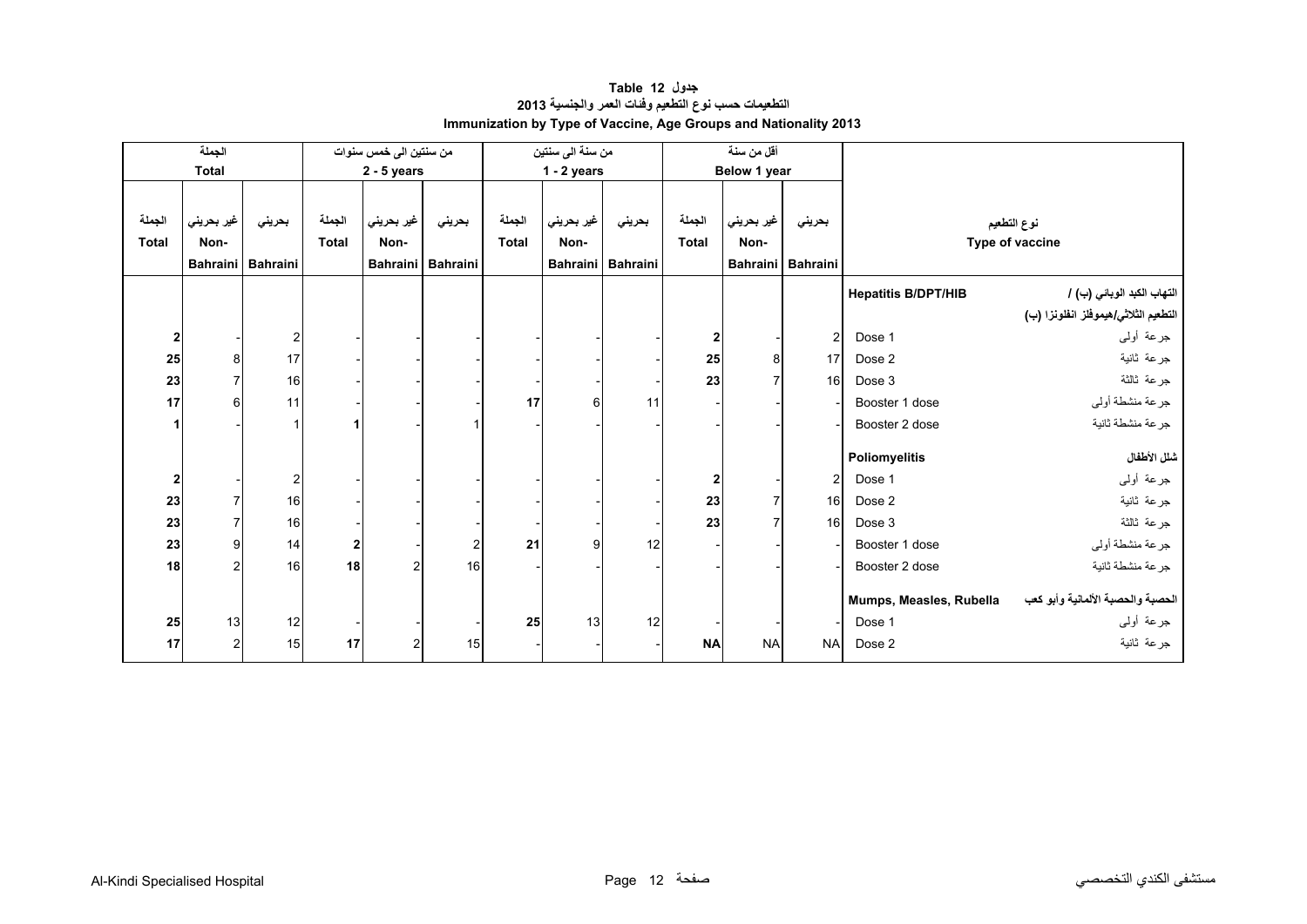<span id="page-10-0"></span>

| الجملة<br>من سنتين الى خمس سنوات |                |                   |                  |               |                   | من سنة الى سنتين |               |                   | أقل من سنة   |                 |                 |                            |                                      |
|----------------------------------|----------------|-------------------|------------------|---------------|-------------------|------------------|---------------|-------------------|--------------|-----------------|-----------------|----------------------------|--------------------------------------|
|                                  | <b>Total</b>   |                   |                  | $2 - 5$ years |                   |                  | $1 - 2$ years |                   |              | Below 1 year    |                 |                            |                                      |
|                                  |                |                   |                  |               |                   |                  |               |                   |              |                 |                 |                            |                                      |
| الجملة                           | غير بحريني     | بحريني            | الجملة           | غير بحريني    | بحريني            | الجملة           | غير بحريني    | بحريني            | الجملة       | غير بحريني      | بحريني          |                            | نوع التطعيم                          |
| <b>Total</b>                     | Non-           |                   | <b>Total</b>     | Non-          |                   | <b>Total</b>     | Non-          |                   | <b>Total</b> | Non-            |                 |                            | Type of vaccine                      |
|                                  |                | Bahraini Bahraini |                  |               | Bahraini Bahraini |                  |               | Bahraini Bahraini |              | <b>Bahraini</b> | <b>Bahraini</b> |                            |                                      |
|                                  |                |                   |                  |               |                   |                  |               |                   |              |                 |                 | <b>Hepatitis B/DPT/HIB</b> | التهاب الكبد الوبائي (ب) /           |
|                                  |                |                   |                  |               |                   |                  |               |                   |              |                 |                 |                            | التطعيم الثلاثي/هيموفلز انفلونزا (ب) |
| 2                                |                | 2                 |                  |               |                   |                  |               |                   | 2            |                 | $\overline{2}$  | Dose 1                     | جرعة أولىي                           |
| 25                               | 8              | 17                |                  |               |                   |                  |               |                   | 25           | 8               | 17              | Dose 2                     | جرعة ثانية                           |
| 23                               | $\overline{7}$ | 16                |                  |               |                   |                  |               |                   | 23           |                 | 16              | Dose 3                     | جرعة ثالثة                           |
| 17                               | 6              | 11                |                  |               |                   | 17               | 6             | 11                |              |                 |                 | Booster 1 dose             | جرعة منشطة أولىي                     |
|                                  |                |                   |                  |               |                   |                  |               |                   |              |                 |                 | Booster 2 dose             | جرعة منشطة ثانية                     |
|                                  |                |                   |                  |               |                   |                  |               |                   |              |                 |                 | Poliomyelitis              | شلل الأطفال                          |
| 2                                |                | 2                 |                  |               |                   |                  |               |                   | 2            |                 | $\overline{2}$  | Dose 1                     | جرعة أولىي                           |
| 23                               | $\overline{7}$ | 16                |                  |               |                   |                  |               |                   | 23           | 7               | 16              | Dose 2                     | جرعة ثانية                           |
| 23                               | $\overline{7}$ | 16                |                  |               |                   |                  |               |                   | 23           |                 | 16              | Dose 3                     | جرعة ثالثة                           |
|                                  |                |                   |                  |               |                   |                  |               |                   |              |                 |                 |                            |                                      |
| 23                               | 9              | 14                | $\boldsymbol{2}$ |               | $\overline{c}$    | 21               | g             | 12                |              |                 |                 | Booster 1 dose             | جرعة منشطة أولىي                     |
| 18                               | $\overline{c}$ | 16                | 18               |               | 16                |                  |               |                   |              |                 |                 | Booster 2 dose             | جرعة منشطة ثانية                     |
|                                  |                |                   |                  |               |                   |                  |               |                   |              |                 |                 | Mumps, Measles, Rubella    | الحصبة والحصبة الألمانية وأبو كعب    |
| 25                               | 13             | 12                |                  |               |                   | 25               | 13            | 12                |              |                 |                 | Dose 1                     | جرعة أولىي                           |
| 17                               | $\overline{c}$ | 15                | 17               |               | 15                |                  |               |                   | <b>NA</b>    | <b>NA</b>       | <b>NA</b>       | Dose 2                     | جرعة ثانية                           |
|                                  |                |                   |                  |               |                   |                  |               |                   |              |                 |                 |                            |                                      |

#### **جدول 12 Table التطعيمات حسب نوع التطعيم وفئات العمر والجنسية <sup>2013</sup> Immunization by Type of Vaccine, Age Groups and Nationality 2013**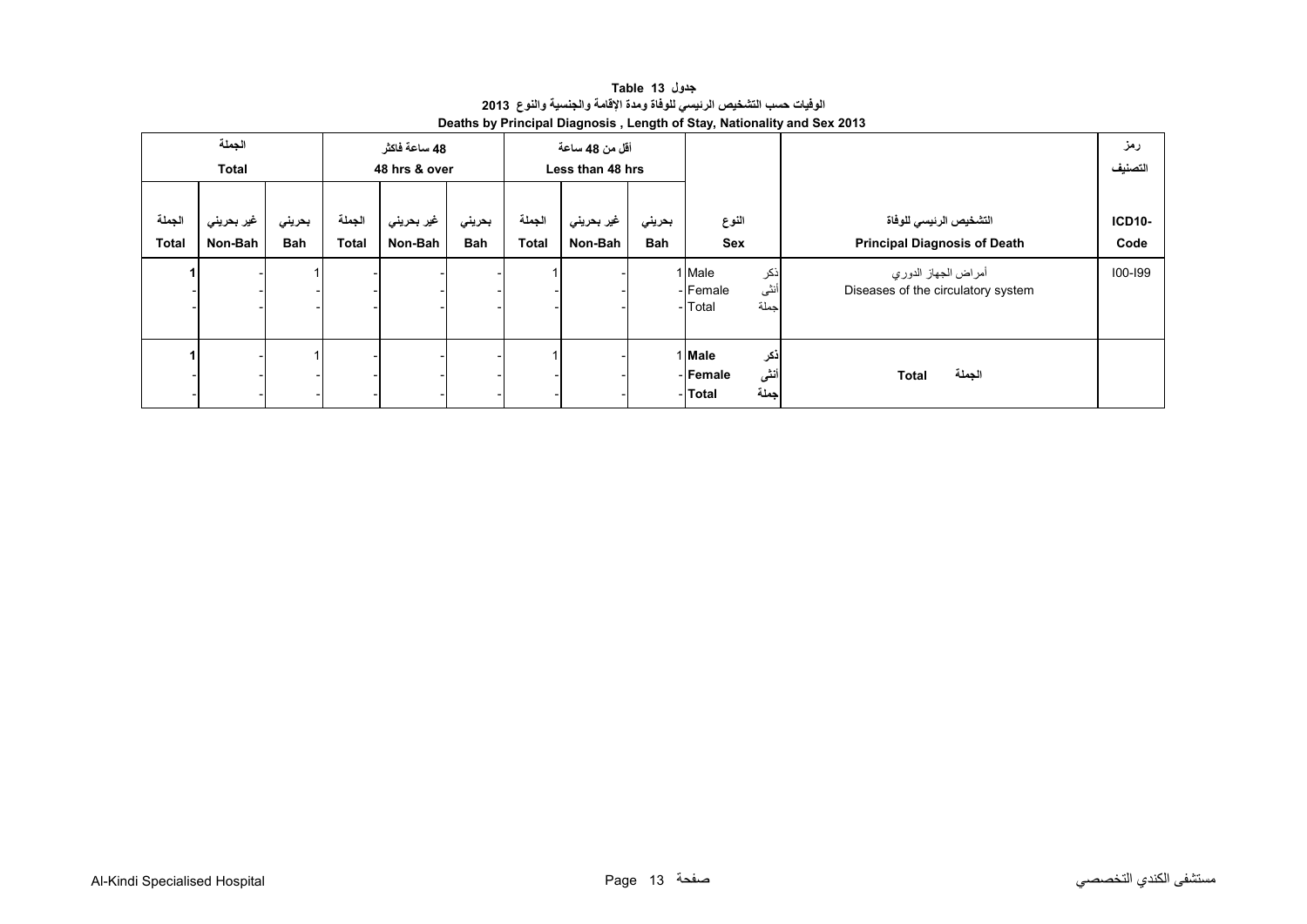**جدول 13 Table الوفيات حسب التشخيص الرئيسي للوفاة ومدة اإلقامة والجنسية والنوع<sup>2013</sup> Deaths by Principal Diagnosis , Length of Stay, Nationality and Sex 2013** 

<span id="page-11-0"></span>

| الجملة<br><b>Total</b> |                       |                      |                        | 48 ساعة فاكثر<br>48 hrs & over |               |                        | أقل من 48 ساعة<br>Less than 48 hrs |                      |                                                     |                                                               | رمز<br>التصنيف        |
|------------------------|-----------------------|----------------------|------------------------|--------------------------------|---------------|------------------------|------------------------------------|----------------------|-----------------------------------------------------|---------------------------------------------------------------|-----------------------|
| الجملة<br><b>Total</b> | غير بحريني<br>Non-Bah | بحريني<br><b>Bah</b> | الجملة<br><b>Total</b> | غير بحريني<br>Non-Bah          | بحريني<br>Bah | الجملة<br><b>Total</b> | غير بحريني<br>Non-Bah              | بحريني<br><b>Bah</b> | النوع<br>Sex                                        | التشخيص الرئيسي للوفاة<br><b>Principal Diagnosis of Death</b> | <b>ICD10-</b><br>Code |
|                        |                       |                      |                        |                                |               |                        |                                    |                      | ذكر<br>1 Male<br>أنثى<br>-Female<br>جملة<br>- Total | أمراض الجهاز الدوري<br>Diseases of the circulatory system     | 100-199               |
|                        |                       |                      |                        |                                |               |                        |                                    |                      | ذكر<br>1 Male<br>أننى<br>-Female<br>جملة<br>- Total | الجملة<br><b>Total</b>                                        |                       |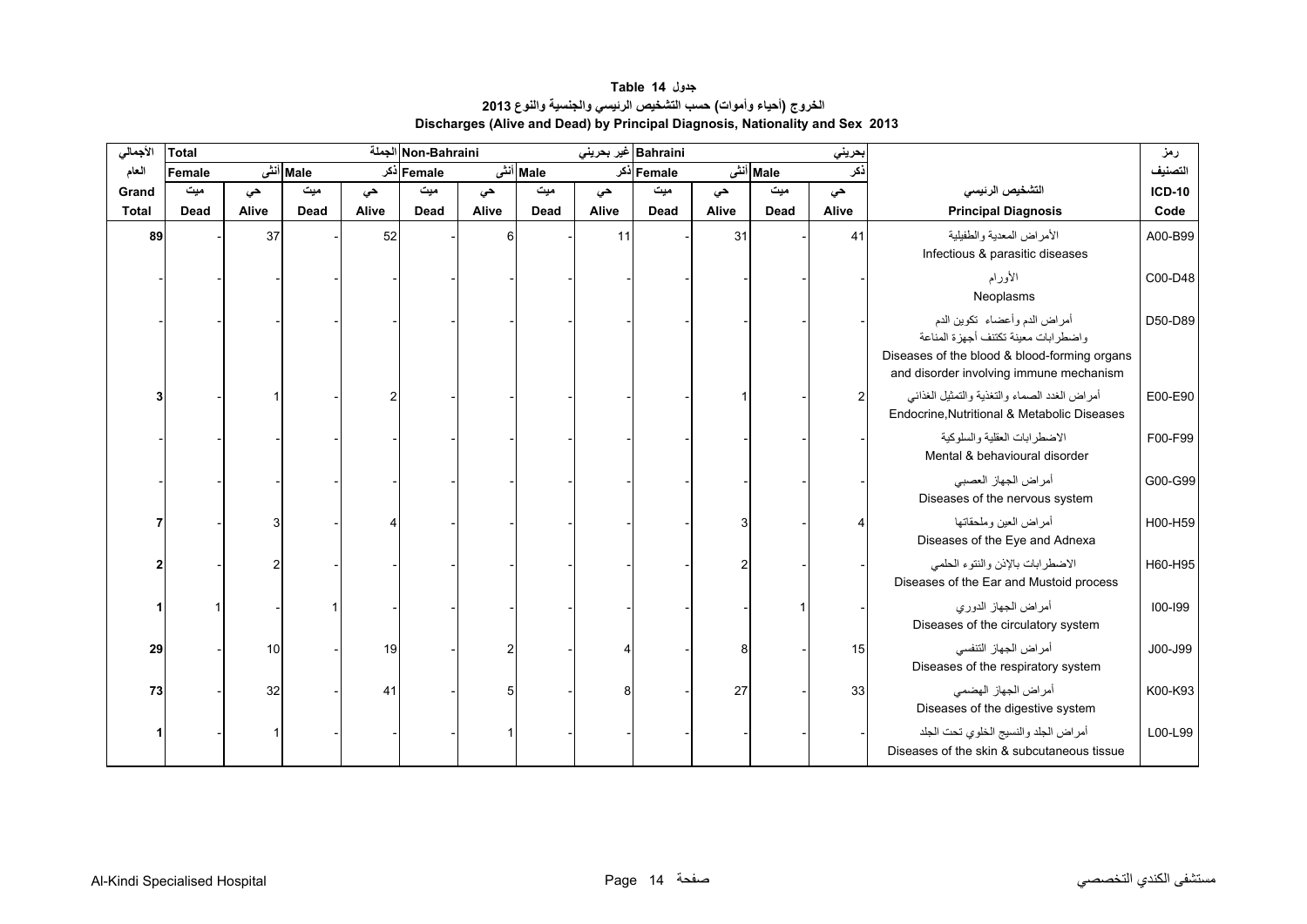## **جدول 14 Table الخروج (أحياء وأموات) حسب التشخيص الرئيسي والجنسية والنوع <sup>2013</sup> Discharges (Alive and Dead) by Principal Diagnosis, Nationality and Sex 2013**

<span id="page-12-0"></span>

| الأجمالي     | <b>Total</b> |       |          |       | Non-Bahraini |       |          | Bahraini غير بحريني |            |       |          | حريني          |                                                                                                                                                                  | رمز           |
|--------------|--------------|-------|----------|-------|--------------|-------|----------|---------------------|------------|-------|----------|----------------|------------------------------------------------------------------------------------------------------------------------------------------------------------------|---------------|
| العام        | Female       |       | Male أنش |       | Female دکر   |       | Male أنش |                     | Female دکر |       | Male أنش | نكر            |                                                                                                                                                                  | التصنيف       |
| Grand        | میت          | حي    | میت      | حي    | میت          | حي    | میت      | حى                  | میت        | حي    | میت      | حي             | التشخيص الرئيسي                                                                                                                                                  | <b>ICD-10</b> |
| <b>Total</b> | Dead         | Alive | Dead     | Alive | Dead         | Alive | Dead     | Alive               | Dead       | Alive | Dead     | Alive          | <b>Principal Diagnosis</b>                                                                                                                                       | Code          |
| 89           |              | 37    |          | 52    |              | 6     |          | 11                  |            | 31    |          | 41             | الأمراض المعدية والطفيلية<br>Infectious & parasitic diseases                                                                                                     | A00-B99       |
|              |              |       |          |       |              |       |          |                     |            |       |          |                | الأورام<br>Neoplasms                                                                                                                                             | C00-D48       |
|              |              |       |          |       |              |       |          |                     |            |       |          |                | أمراض الدم وأعضاء تكوين الدم<br>واضطر ابات معينة تكتنف أجهز ة المناعة<br>Diseases of the blood & blood-forming organs<br>and disorder involving immune mechanism | D50-D89       |
|              |              |       |          |       |              |       |          |                     |            |       |          | $\overline{2}$ | أمراض الغدد الصماء والتغذية والتمثيل الغذائي<br>Endocrine, Nutritional & Metabolic Diseases                                                                      | E00-E90       |
|              |              |       |          |       |              |       |          |                     |            |       |          |                | الاضطر ابات العقلبة والسلوكبة<br>Mental & behavioural disorder                                                                                                   | F00-F99       |
|              |              |       |          |       |              |       |          |                     |            |       |          |                | أمراض الجهاز العصبي<br>Diseases of the nervous system                                                                                                            | G00-G99       |
|              |              |       |          |       |              |       |          |                     |            |       |          |                | أمراض العين وملحقاتها<br>Diseases of the Eye and Adnexa                                                                                                          | H00-H59       |
|              |              |       |          |       |              |       |          |                     |            |       |          |                | الاضطرابات بالإذن والنتوء الحلمي<br>Diseases of the Ear and Mustoid process                                                                                      | H60-H95       |
|              |              |       |          |       |              |       |          |                     |            |       |          |                | أمراض الجهاز الدوري<br>Diseases of the circulatory system                                                                                                        | $100 - 199$   |
| 29           |              | 10    |          | 19    |              |       |          |                     |            | 8     |          | 15             | أمراض الجهاز التنفسي<br>Diseases of the respiratory system                                                                                                       | J00-J99       |
| 73           |              | 32    |          | 41    |              | 5     |          | 8                   |            | 27    |          | 33             | أمراض الجهاز الهضمى<br>Diseases of the digestive system                                                                                                          | K00-K93       |
|              |              |       |          |       |              |       |          |                     |            |       |          |                | أمراض الجلد والنسيج الخلوي تحت الجلد<br>Diseases of the skin & subcutaneous tissue                                                                               | L00-L99       |